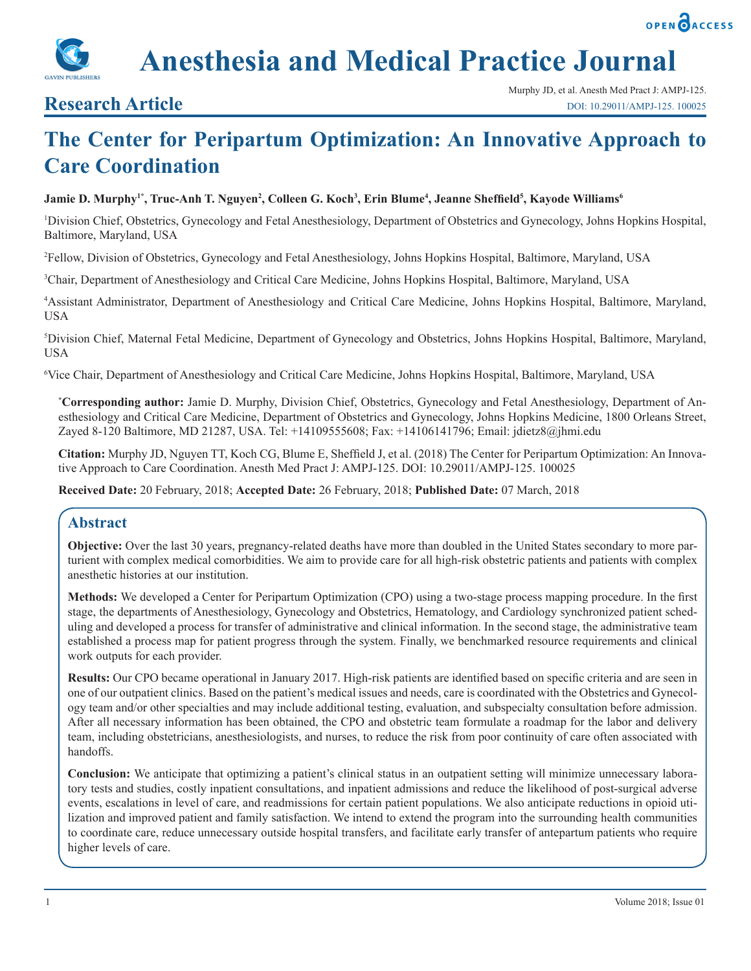



## **Research Article**

# **The Center for Peripartum Optimization: An Innovative Approach to Care Coordination**

#### ${\bf J}$ amie D. Murphy<sup>1\*</sup>, Truc-Anh T. Nguyen<sup>2</sup>, Colleen G. Koch<sup>3</sup>, Erin Blume<sup>4</sup>, Jeanne Sheffield<sup>5</sup>, Kayode Williams<sup>6</sup>

1 Division Chief, Obstetrics, Gynecology and Fetal Anesthesiology, Department of Obstetrics and Gynecology, Johns Hopkins Hospital, Baltimore, Maryland, USA

2 Fellow, Division of Obstetrics, Gynecology and Fetal Anesthesiology, Johns Hopkins Hospital, Baltimore, Maryland, USA

3 Chair, Department of Anesthesiology and Critical Care Medicine, Johns Hopkins Hospital, Baltimore, Maryland, USA

4 Assistant Administrator, Department of Anesthesiology and Critical Care Medicine, Johns Hopkins Hospital, Baltimore, Maryland, USA

5 Division Chief, Maternal Fetal Medicine, Department of Gynecology and Obstetrics, Johns Hopkins Hospital, Baltimore, Maryland, USA

6 Vice Chair, Department of Anesthesiology and Critical Care Medicine, Johns Hopkins Hospital, Baltimore, Maryland, USA

**\* Corresponding author:** Jamie D. Murphy, Division Chief, Obstetrics, Gynecology and Fetal Anesthesiology, Department of Anesthesiology and Critical Care Medicine, Department of Obstetrics and Gynecology, Johns Hopkins Medicine, 1800 Orleans Street, Zayed 8-120 Baltimore, MD 21287, USA. Tel: +14109555608; Fax: +14106141796; Email: jdietz8@jhmi.edu

**Citation:** Murphy JD, Nguyen TT, Koch CG, Blume E, Sheffield J, et al. (2018) The Center for Peripartum Optimization: An Innovative Approach to Care Coordination. Anesth Med Pract J: AMPJ-125. DOI: 10.29011/AMPJ-125. 100025

**Received Date:** 20 February, 2018; **Accepted Date:** 26 February, 2018; **Published Date:** 07 March, 2018

## **Abstract**

**Objective:** Over the last 30 years, pregnancy-related deaths have more than doubled in the United States secondary to more parturient with complex medical comorbidities. We aim to provide care for all high-risk obstetric patients and patients with complex anesthetic histories at our institution.

**Methods:** We developed a Center for Peripartum Optimization (CPO) using a two-stage process mapping procedure. In the first stage, the departments of Anesthesiology, Gynecology and Obstetrics, Hematology, and Cardiology synchronized patient scheduling and developed a process for transfer of administrative and clinical information. In the second stage, the administrative team established a process map for patient progress through the system. Finally, we benchmarked resource requirements and clinical work outputs for each provider.

**Results:** Our CPO became operational in January 2017. High-risk patients are identified based on specific criteria and are seen in one of our outpatient clinics. Based on the patient's medical issues and needs, care is coordinated with the Obstetrics and Gynecology team and/or other specialties and may include additional testing, evaluation, and subspecialty consultation before admission. After all necessary information has been obtained, the CPO and obstetric team formulate a roadmap for the labor and delivery team, including obstetricians, anesthesiologists, and nurses, to reduce the risk from poor continuity of care often associated with handoffs.

**Conclusion:** We anticipate that optimizing a patient's clinical status in an outpatient setting will minimize unnecessary laboratory tests and studies, costly inpatient consultations, and inpatient admissions and reduce the likelihood of post-surgical adverse events, escalations in level of care, and readmissions for certain patient populations. We also anticipate reductions in opioid utilization and improved patient and family satisfaction. We intend to extend the program into the surrounding health communities to coordinate care, reduce unnecessary outside hospital transfers, and facilitate early transfer of antepartum patients who require higher levels of care.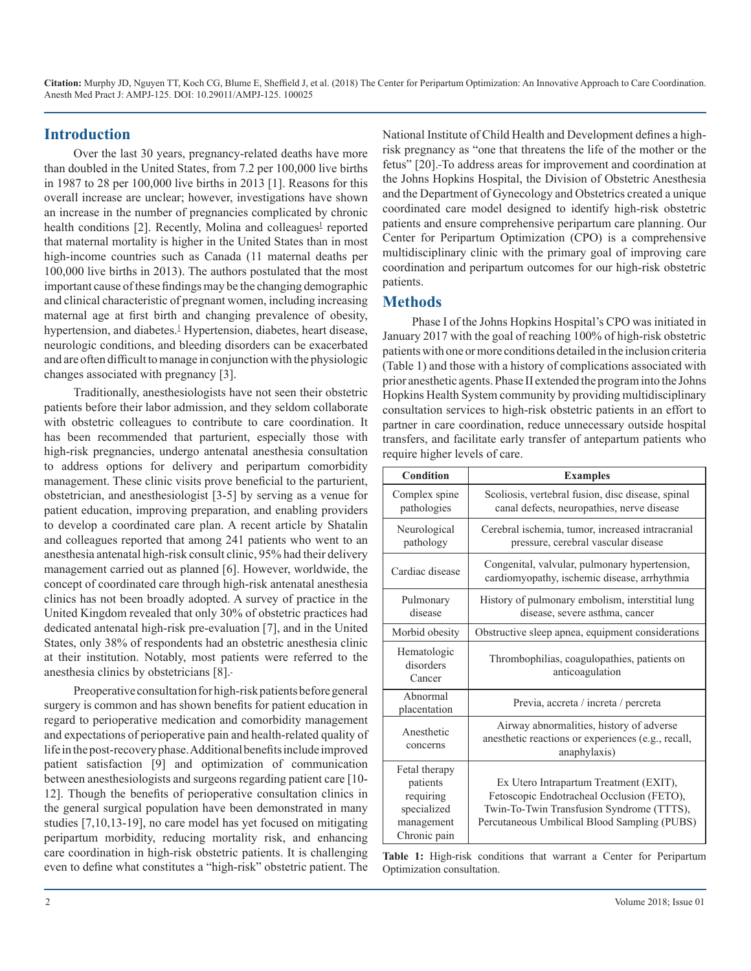#### **Introduction**

Over the last 30 years, pregnancy-related deaths have more than doubled in the United States, from 7.2 per 100,000 live births in 1987 to 28 per 100,000 live births in 2013 [1]. Reasons for this overall increase are unclear; however, investigations have shown an increase in the number of pregnancies complicated by chronic health conditions [2]. Recently, Molina and colleagues<sup>1</sup> reported that maternal mortality is higher in the United States than in most high-income countries such as Canada (11 maternal deaths per 100,000 live births in 2013). The authors postulated that the most important cause of these findings may be the changing demographic and clinical characteristic of pregnant women, including increasing maternal age at first birth and changing prevalence of obesity, hypertension, and diabetes.<sup>[1](https://docs.google.com/document/d/1Lnn8rcqb6Lm-9HBRHTaEy4laLBVwSrf8yLiWhVgQMuE/edit#heading=h.30j0zll)</sup> Hypertension, diabetes, heart disease, neurologic conditions, and bleeding disorders can be exacerbated and are often difficult to manage in conjunction with the physiologic changes associated with pregnancy [3].

Traditionally, anesthesiologists have not seen their obstetric patients before their labor admission, and they seldom collaborate with obstetric colleagues to contribute to care coordination. It has been recommended that parturient, especially those with high-risk pregnancies, undergo antenatal anesthesia consultation to address options for delivery and peripartum comorbidity management. These clinic visits prove beneficial to the parturient, obstetrician, and anesthesiologist [3-5] by serving as a venue for patient education, improving preparation, and enabling providers to develop a coordinated care plan. A recent article by Shatalin and colleagues reported that among 241 patients who went to an anesthesia antenatal high-risk consult clinic, 95% had their delivery management carried out as planned [6]. However, worldwide, the concept of coordinated care through high-risk antenatal anesthesia clinics has not been broadly adopted. A survey of practice in the United Kingdom revealed that only 30% of obstetric practices had dedicated antenatal high-risk pre-evaluation [7], and in the United States, only 38% of respondents had an obstetric anesthesia clinic at their institution. Notably, most patients were referred to the anesthesia clinics by obstetricians [8].

Preoperative consultation for high-risk patients before general surgery is common and has shown benefits for patient education in regard to perioperative medication and comorbidity management and expectations of perioperative pain and health-related quality of life in the post-recovery phase. Additional benefits include improved patient satisfaction [9] and optimization of communication between anesthesiologists and surgeons regarding patient care [10- 12]. Though the benefits of perioperative consultation clinics in the general surgical population have been demonstrated in many studies [7,10,13-19], no care model has yet focused on mitigating peripartum morbidity, reducing mortality risk, and enhancing care coordination in high-risk obstetric patients. It is challenging even to define what constitutes a "high-risk" obstetric patient. The

National Institute of Child Health and Development defines a highrisk pregnancy as "one that threatens the life of the mother or the fetus" [20]. To address areas for improvement and coordination at the Johns Hopkins Hospital, the Division of Obstetric Anesthesia and the Department of Gynecology and Obstetrics created a unique coordinated care model designed to identify high-risk obstetric patients and ensure comprehensive peripartum care planning. Our Center for Peripartum Optimization (CPO) is a comprehensive multidisciplinary clinic with the primary goal of improving care coordination and peripartum outcomes for our high-risk obstetric patients.

#### **Methods**

Phase I of the Johns Hopkins Hospital's CPO was initiated in January 2017 with the goal of reaching 100% of high-risk obstetric patients with one or more conditions detailed in the inclusion criteria (Table 1) and those with a history of complications associated with prior anesthetic agents. Phase II extended the program into the Johns Hopkins Health System community by providing multidisciplinary consultation services to high-risk obstetric patients in an effort to partner in care coordination, reduce unnecessary outside hospital transfers, and facilitate early transfer of antepartum patients who require higher levels of care.

| Condition                                                                           | <b>Examples</b>                                                                                                                                                                  |
|-------------------------------------------------------------------------------------|----------------------------------------------------------------------------------------------------------------------------------------------------------------------------------|
| Complex spine<br>pathologies                                                        | Scoliosis, vertebral fusion, disc disease, spinal<br>canal defects, neuropathies, nerve disease                                                                                  |
| Neurological<br>pathology                                                           | Cerebral ischemia, tumor, increased intracranial<br>pressure, cerebral vascular disease                                                                                          |
| Cardiac disease                                                                     | Congenital, valvular, pulmonary hypertension,<br>cardiomyopathy, ischemic disease, arrhythmia                                                                                    |
| Pulmonary<br>disease                                                                | History of pulmonary embolism, interstitial lung<br>disease, severe asthma, cancer                                                                                               |
| Morbid obesity                                                                      | Obstructive sleep apnea, equipment considerations                                                                                                                                |
| Hematologic<br>disorders<br>Cancer                                                  | Thrombophilias, coagulopathies, patients on<br>anticoagulation                                                                                                                   |
| Abnormal<br>placentation                                                            | Previa, accreta / increta / percreta                                                                                                                                             |
| Anesthetic<br>concerns                                                              | Airway abnormalities, history of adverse<br>anesthetic reactions or experiences (e.g., recall,<br>anaphylaxis)                                                                   |
| Fetal therapy<br>patients<br>requiring<br>specialized<br>management<br>Chronic pain | Ex Utero Intrapartum Treatment (EXIT),<br>Fetoscopic Endotracheal Occlusion (FETO),<br>Twin-To-Twin Transfusion Syndrome (TTTS),<br>Percutaneous Umbilical Blood Sampling (PUBS) |

**Table 1:** High-risk conditions that warrant a Center for Peripartum Optimization consultation.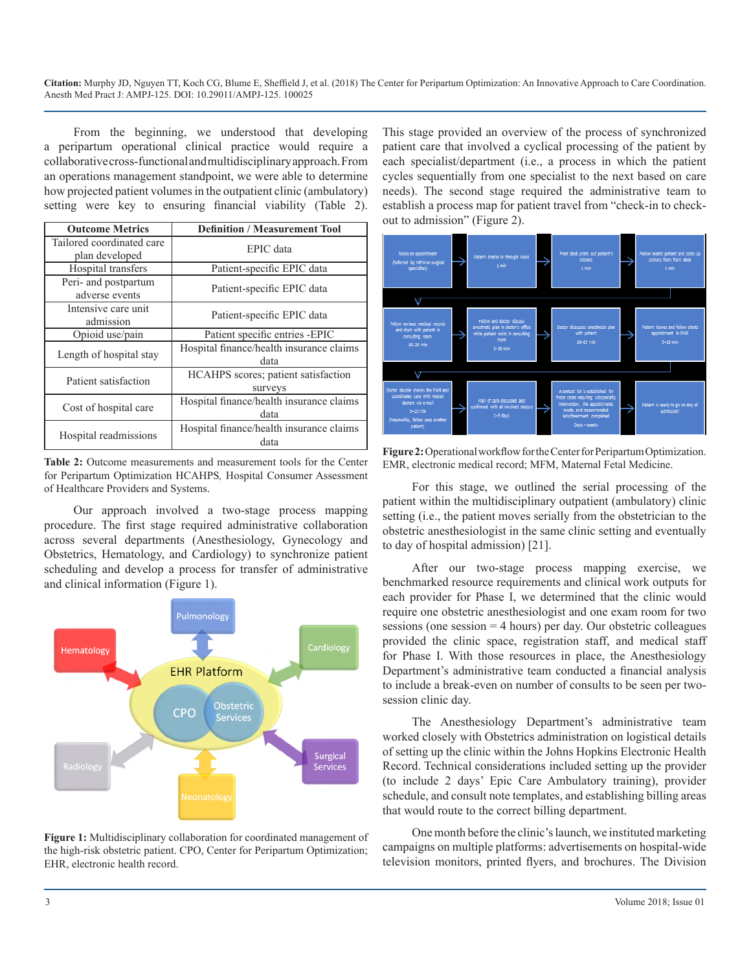From the beginning, we understood that developing a peripartum operational clinical practice would require a collaborative cross-functional and multidisciplinary approach. From an operations management standpoint, we were able to determine how projected patient volumes in the outpatient clinic (ambulatory) setting were key to ensuring financial viability (Table 2).

| <b>Outcome Metrics</b>                      | <b>Definition / Measurement Tool</b>             |
|---------------------------------------------|--------------------------------------------------|
| Tailored coordinated care<br>plan developed | EPIC data                                        |
| Hospital transfers                          | Patient-specific EPIC data                       |
| Peri- and postpartum<br>adverse events      | Patient-specific EPIC data                       |
| Intensive care unit<br>admission            | Patient-specific EPIC data                       |
| Opioid use/pain                             | Patient specific entries -EPIC                   |
| Length of hospital stay                     | Hospital finance/health insurance claims<br>data |
| Patient satisfaction                        | HCAHPS scores; patient satisfaction<br>surveys   |
| Cost of hospital care                       | Hospital finance/health insurance claims<br>data |
| Hospital readmissions                       | Hospital finance/health insurance claims<br>data |

**Table 2:** Outcome measurements and measurement tools for the Center for Peripartum Optimization HCAHPS*,* Hospital Consumer Assessment of Healthcare Providers and Systems.

Our approach involved a two-stage process mapping procedure. The first stage required administrative collaboration across several departments (Anesthesiology, Gynecology and Obstetrics, Hematology, and Cardiology) to synchronize patient scheduling and develop a process for transfer of administrative and clinical information (Figure 1).



**Figure 1:** Multidisciplinary collaboration for coordinated management of the high-risk obstetric patient. CPO, Center for Peripartum Optimization; EHR, electronic health record.

This stage provided an overview of the process of synchronized patient care that involved a cyclical processing of the patient by each specialist/department (i.e., a process in which the patient cycles sequentially from one specialist to the next based on care needs). The second stage required the administrative team to establish a process map for patient travel from "check-in to checkout to admission" (Figure 2).



**Figure 2:** Operational workflow for the Center for Peripartum Optimization. EMR, electronic medical record; MFM, Maternal Fetal Medicine.

For this stage, we outlined the serial processing of the patient within the multidisciplinary outpatient (ambulatory) clinic setting (i.e., the patient moves serially from the obstetrician to the obstetric anesthesiologist in the same clinic setting and eventually to day of hospital admission) [21].

After our two-stage process mapping exercise, we benchmarked resource requirements and clinical work outputs for each provider for Phase I, we determined that the clinic would require one obstetric anesthesiologist and one exam room for two sessions (one session = 4 hours) per day. Our obstetric colleagues provided the clinic space, registration staff, and medical staff for Phase I. With those resources in place, the Anesthesiology Department's administrative team conducted a financial analysis to include a break-even on number of consults to be seen per twosession clinic day.

The Anesthesiology Department's administrative team worked closely with Obstetrics administration on logistical details of setting up the clinic within the Johns Hopkins Electronic Health Record. Technical considerations included setting up the provider (to include 2 days' Epic Care Ambulatory training), provider schedule, and consult note templates, and establishing billing areas that would route to the correct billing department.

One month before the clinic's launch, we instituted marketing campaigns on multiple platforms: advertisements on hospital-wide television monitors, printed flyers, and brochures. The Division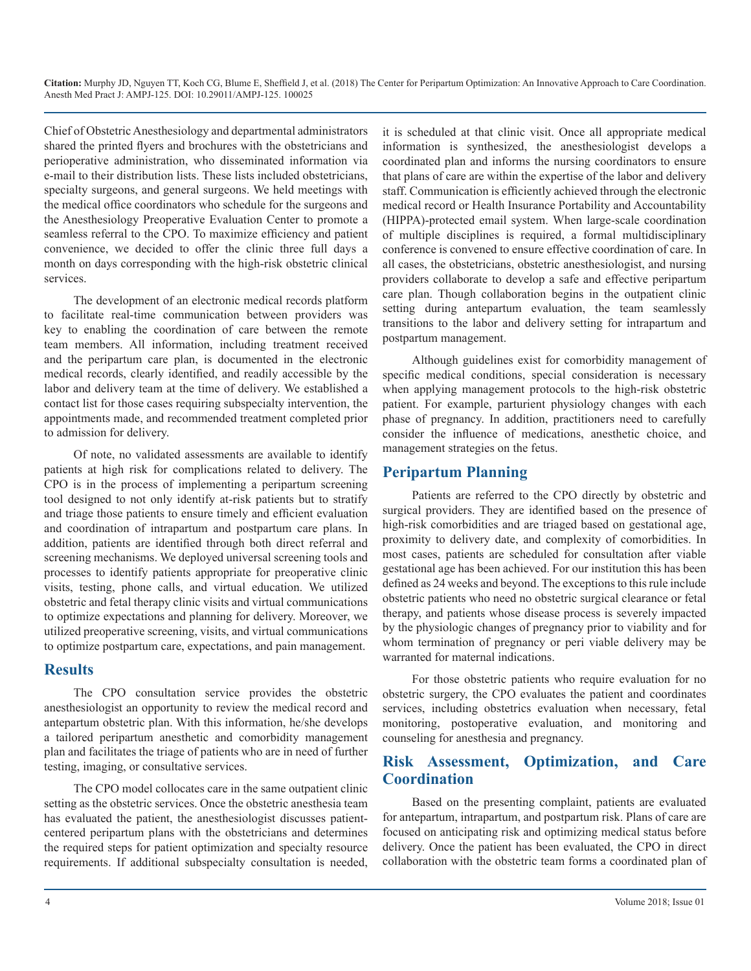Chief of Obstetric Anesthesiology and departmental administrators shared the printed flyers and brochures with the obstetricians and perioperative administration, who disseminated information via e-mail to their distribution lists. These lists included obstetricians, specialty surgeons, and general surgeons. We held meetings with the medical office coordinators who schedule for the surgeons and the Anesthesiology Preoperative Evaluation Center to promote a seamless referral to the CPO. To maximize efficiency and patient convenience, we decided to offer the clinic three full days a month on days corresponding with the high-risk obstetric clinical services.

The development of an electronic medical records platform to facilitate real-time communication between providers was key to enabling the coordination of care between the remote team members. All information, including treatment received and the peripartum care plan, is documented in the electronic medical records, clearly identified, and readily accessible by the labor and delivery team at the time of delivery. We established a contact list for those cases requiring subspecialty intervention, the appointments made, and recommended treatment completed prior to admission for delivery.

Of note, no validated assessments are available to identify patients at high risk for complications related to delivery. The CPO is in the process of implementing a peripartum screening tool designed to not only identify at-risk patients but to stratify and triage those patients to ensure timely and efficient evaluation and coordination of intrapartum and postpartum care plans. In addition, patients are identified through both direct referral and screening mechanisms. We deployed universal screening tools and processes to identify patients appropriate for preoperative clinic visits, testing, phone calls, and virtual education. We utilized obstetric and fetal therapy clinic visits and virtual communications to optimize expectations and planning for delivery. Moreover, we utilized preoperative screening, visits, and virtual communications to optimize postpartum care, expectations, and pain management.

#### **Results**

The CPO consultation service provides the obstetric anesthesiologist an opportunity to review the medical record and antepartum obstetric plan. With this information, he/she develops a tailored peripartum anesthetic and comorbidity management plan and facilitates the triage of patients who are in need of further testing, imaging, or consultative services.

The CPO model collocates care in the same outpatient clinic setting as the obstetric services. Once the obstetric anesthesia team has evaluated the patient, the anesthesiologist discusses patientcentered peripartum plans with the obstetricians and determines the required steps for patient optimization and specialty resource requirements. If additional subspecialty consultation is needed,

it is scheduled at that clinic visit. Once all appropriate medical information is synthesized, the anesthesiologist develops a coordinated plan and informs the nursing coordinators to ensure that plans of care are within the expertise of the labor and delivery staff. Communication is efficiently achieved through the electronic medical record or Health Insurance Portability and Accountability (HIPPA)-protected email system. When large-scale coordination of multiple disciplines is required, a formal multidisciplinary conference is convened to ensure effective coordination of care. In all cases, the obstetricians, obstetric anesthesiologist, and nursing providers collaborate to develop a safe and effective peripartum care plan. Though collaboration begins in the outpatient clinic setting during antepartum evaluation, the team seamlessly transitions to the labor and delivery setting for intrapartum and postpartum management.

Although guidelines exist for comorbidity management of specific medical conditions, special consideration is necessary when applying management protocols to the high-risk obstetric patient. For example, parturient physiology changes with each phase of pregnancy. In addition, practitioners need to carefully consider the influence of medications, anesthetic choice, and management strategies on the fetus.

## **Peripartum Planning**

Patients are referred to the CPO directly by obstetric and surgical providers. They are identified based on the presence of high-risk comorbidities and are triaged based on gestational age, proximity to delivery date, and complexity of comorbidities. In most cases, patients are scheduled for consultation after viable gestational age has been achieved. For our institution this has been defined as 24 weeks and beyond. The exceptions to this rule include obstetric patients who need no obstetric surgical clearance or fetal therapy, and patients whose disease process is severely impacted by the physiologic changes of pregnancy prior to viability and for whom termination of pregnancy or peri viable delivery may be warranted for maternal indications.

For those obstetric patients who require evaluation for no obstetric surgery, the CPO evaluates the patient and coordinates services, including obstetrics evaluation when necessary, fetal monitoring, postoperative evaluation, and monitoring and counseling for anesthesia and pregnancy.

## **Risk Assessment, Optimization, and Care Coordination**

Based on the presenting complaint, patients are evaluated for antepartum, intrapartum, and postpartum risk. Plans of care are focused on anticipating risk and optimizing medical status before delivery. Once the patient has been evaluated, the CPO in direct collaboration with the obstetric team forms a coordinated plan of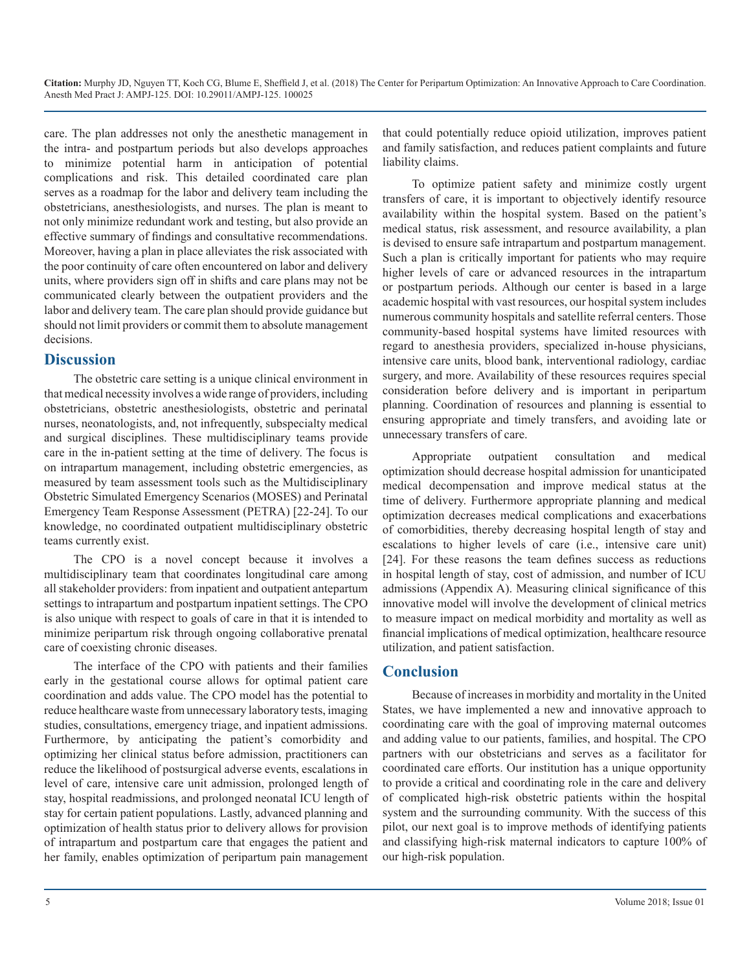care. The plan addresses not only the anesthetic management in the intra- and postpartum periods but also develops approaches to minimize potential harm in anticipation of potential complications and risk. This detailed coordinated care plan serves as a roadmap for the labor and delivery team including the obstetricians, anesthesiologists, and nurses. The plan is meant to not only minimize redundant work and testing, but also provide an effective summary of findings and consultative recommendations. Moreover, having a plan in place alleviates the risk associated with the poor continuity of care often encountered on labor and delivery units, where providers sign off in shifts and care plans may not be communicated clearly between the outpatient providers and the labor and delivery team. The care plan should provide guidance but should not limit providers or commit them to absolute management decisions.

#### **Discussion**

The obstetric care setting is a unique clinical environment in that medical necessity involves a wide range of providers, including obstetricians, obstetric anesthesiologists, obstetric and perinatal nurses, neonatologists, and, not infrequently, subspecialty medical and surgical disciplines. These multidisciplinary teams provide care in the in-patient setting at the time of delivery. The focus is on intrapartum management, including obstetric emergencies, as measured by team assessment tools such as the Multidisciplinary Obstetric Simulated Emergency Scenarios (MOSES) and Perinatal Emergency Team Response Assessment (PETRA) [22-24]. To our knowledge, no coordinated outpatient multidisciplinary obstetric teams currently exist.

The CPO is a novel concept because it involves a multidisciplinary team that coordinates longitudinal care among all stakeholder providers: from inpatient and outpatient antepartum settings to intrapartum and postpartum inpatient settings. The CPO is also unique with respect to goals of care in that it is intended to minimize peripartum risk through ongoing collaborative prenatal care of coexisting chronic diseases.

The interface of the CPO with patients and their families early in the gestational course allows for optimal patient care coordination and adds value. The CPO model has the potential to reduce healthcare waste from unnecessary laboratory tests, imaging studies, consultations, emergency triage, and inpatient admissions. Furthermore, by anticipating the patient's comorbidity and optimizing her clinical status before admission, practitioners can reduce the likelihood of postsurgical adverse events, escalations in level of care, intensive care unit admission, prolonged length of stay, hospital readmissions, and prolonged neonatal ICU length of stay for certain patient populations. Lastly, advanced planning and optimization of health status prior to delivery allows for provision of intrapartum and postpartum care that engages the patient and her family, enables optimization of peripartum pain management

that could potentially reduce opioid utilization, improves patient and family satisfaction, and reduces patient complaints and future liability claims.

To optimize patient safety and minimize costly urgent transfers of care, it is important to objectively identify resource availability within the hospital system. Based on the patient's medical status, risk assessment, and resource availability, a plan is devised to ensure safe intrapartum and postpartum management. Such a plan is critically important for patients who may require higher levels of care or advanced resources in the intrapartum or postpartum periods. Although our center is based in a large academic hospital with vast resources, our hospital system includes numerous community hospitals and satellite referral centers. Those community-based hospital systems have limited resources with regard to anesthesia providers, specialized in-house physicians, intensive care units, blood bank, interventional radiology, cardiac surgery, and more. Availability of these resources requires special consideration before delivery and is important in peripartum planning. Coordination of resources and planning is essential to ensuring appropriate and timely transfers, and avoiding late or unnecessary transfers of care.

Appropriate outpatient consultation and medical optimization should decrease hospital admission for unanticipated medical decompensation and improve medical status at the time of delivery. Furthermore appropriate planning and medical optimization decreases medical complications and exacerbations of comorbidities, thereby decreasing hospital length of stay and escalations to higher levels of care (i.e., intensive care unit) [24]. For these reasons the team defines success as reductions in hospital length of stay, cost of admission, and number of ICU admissions (Appendix A). Measuring clinical significance of this innovative model will involve the development of clinical metrics to measure impact on medical morbidity and mortality as well as financial implications of medical optimization, healthcare resource utilization, and patient satisfaction.

#### **Conclusion**

Because of increases in morbidity and mortality in the United States, we have implemented a new and innovative approach to coordinating care with the goal of improving maternal outcomes and adding value to our patients, families, and hospital. The CPO partners with our obstetricians and serves as a facilitator for coordinated care efforts. Our institution has a unique opportunity to provide a critical and coordinating role in the care and delivery of complicated high-risk obstetric patients within the hospital system and the surrounding community. With the success of this pilot, our next goal is to improve methods of identifying patients and classifying high-risk maternal indicators to capture 100% of our high-risk population.